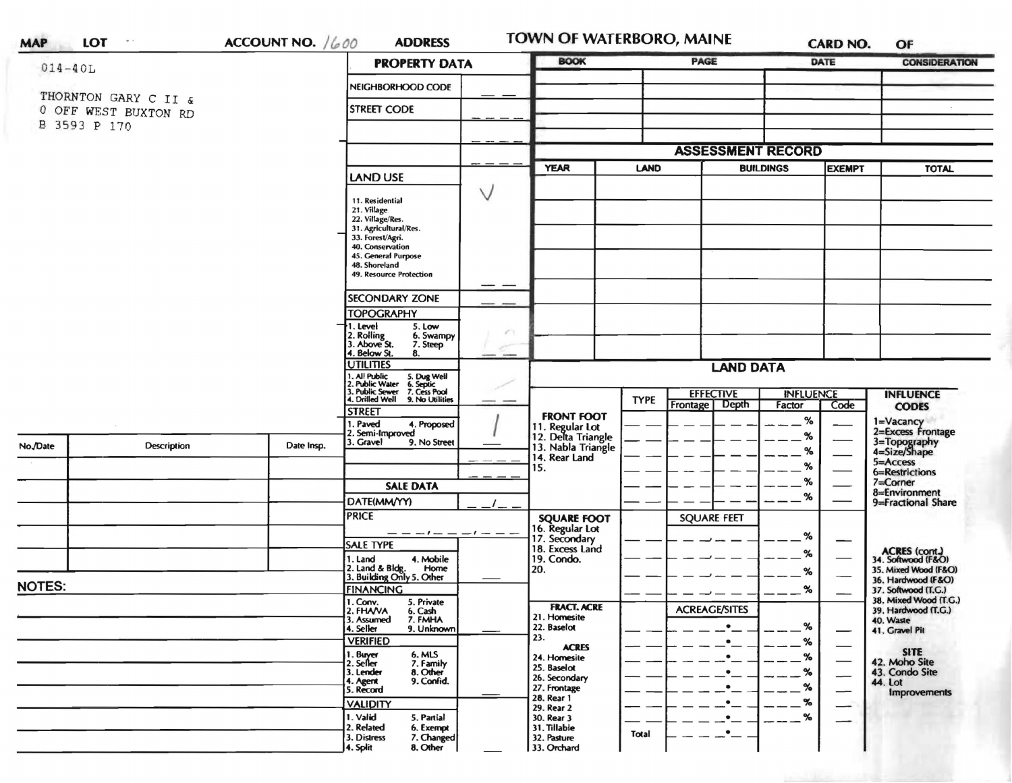| <b>MAP</b>                           | <b>LOT</b><br>$\mathbf{w}\rightarrow$ | ACCOUNT NO. $/600$                                                                              | <b>ADDRESS</b>                                                                                                                                                                                          | TOWN OF WATERBORO, MAINE                   |                  |                                  |                  | <b>CARD NO.</b>              | OF                                                         |  |
|--------------------------------------|---------------------------------------|-------------------------------------------------------------------------------------------------|---------------------------------------------------------------------------------------------------------------------------------------------------------------------------------------------------------|--------------------------------------------|------------------|----------------------------------|------------------|------------------------------|------------------------------------------------------------|--|
|                                      | $014 - 40L$                           |                                                                                                 | <b>PROPERTY DATA</b>                                                                                                                                                                                    | <b>BOOK</b>                                |                  | PAGE                             |                  | DATE<br><b>CONSIDERATION</b> |                                                            |  |
|                                      | THORNTON GARY C II &                  |                                                                                                 | NEIGHBORHOOD CODE                                                                                                                                                                                       |                                            |                  |                                  |                  |                              |                                                            |  |
| 0 OFF WEST BUXTON RD<br>B 3593 P 170 |                                       |                                                                                                 | <b>STREET CODE</b>                                                                                                                                                                                      |                                            |                  |                                  |                  |                              |                                                            |  |
|                                      |                                       |                                                                                                 |                                                                                                                                                                                                         |                                            |                  |                                  |                  |                              |                                                            |  |
|                                      |                                       |                                                                                                 |                                                                                                                                                                                                         |                                            |                  | <b>ASSESSMENT RECORD</b>         |                  |                              | <b>TOTAL</b><br><b>INFLUENCE</b>                           |  |
|                                      |                                       |                                                                                                 | <b>LAND USE</b>                                                                                                                                                                                         | <b>YEAR</b>                                | <b>LAND</b>      |                                  | <b>BUILDINGS</b> | <b>EXEMPT</b>                |                                                            |  |
|                                      |                                       |                                                                                                 | $\vee$<br>11. Residential<br>21. Village<br>22. Village/Res.<br>31. Agricultural/Res.<br>33. Forest/Agri.<br>40. Conservation<br>45. General Purpose<br>48. Shoreland<br>49. Resource Protection<br>— — |                                            |                  |                                  |                  |                              |                                                            |  |
|                                      |                                       |                                                                                                 | SECONDARY ZONE                                                                                                                                                                                          |                                            |                  |                                  |                  |                              |                                                            |  |
|                                      |                                       |                                                                                                 | <b>TOPOGRAPHY</b>                                                                                                                                                                                       |                                            |                  |                                  |                  |                              |                                                            |  |
|                                      |                                       | 1. Level<br>5. Low<br>2. Rolling<br>3. Above St.<br>6. Swampy<br>7. Steep<br>4. Below St.<br>8. | e v<br>$-$                                                                                                                                                                                              |                                            |                  |                                  |                  |                              |                                                            |  |
|                                      |                                       |                                                                                                 | <b>UTILITIES</b>                                                                                                                                                                                        |                                            | <b>LAND DATA</b> |                                  |                  |                              |                                                            |  |
|                                      |                                       |                                                                                                 | 1. All Public<br>2. Public Water<br>3. Public Sewer<br>5. Dug Well<br>6. Septic<br>7. Cess Pool<br>4. Drilled Well<br>9. No Utilities                                                                   |                                            | <b>TYPE</b>      | <b>EFFECTIVE</b>                 | <b>INFLUENCE</b> |                              |                                                            |  |
|                                      |                                       |                                                                                                 | <b>STREET</b>                                                                                                                                                                                           | <b>FRONT FOOT</b>                          |                  | Depth<br>Frontage<br>Factor<br>% | Code             | <b>CODES</b>                 |                                                            |  |
|                                      |                                       |                                                                                                 | 1. Paved<br>4. Proposed<br>2. Semi-Improved                                                                                                                                                             | 11. Regular Lot<br>12. Delta Triangle      |                  |                                  | %                |                              | 1=Vacancy<br>2=Excess Frontage                             |  |
| No./Date                             | Description                           | Date Insp.                                                                                      | 3. Gravel<br>9. No Street                                                                                                                                                                               | 13. Nabla Triangle<br>14. Rear Land        |                  |                                  | ℅                |                              | 3=Topography<br>4=Size/Shape<br>5=Access<br>6=Restrictions |  |
|                                      |                                       |                                                                                                 |                                                                                                                                                                                                         | 15.                                        |                  |                                  | %                |                              |                                                            |  |
|                                      |                                       |                                                                                                 | <b>SALE DATA</b>                                                                                                                                                                                        |                                            |                  |                                  | %                |                              | 7=Corner                                                   |  |
|                                      |                                       |                                                                                                 | DATE(MM/YY)                                                                                                                                                                                             |                                            |                  |                                  | %                |                              | 8=Environment<br>9=Fractional Share                        |  |
|                                      |                                       |                                                                                                 | <b>PRICE</b>                                                                                                                                                                                            |                                            |                  | <b>SQUARE FEET</b>               |                  |                              |                                                            |  |
|                                      |                                       |                                                                                                 |                                                                                                                                                                                                         | <b>SQUARE FOOT</b>                         |                  |                                  |                  |                              |                                                            |  |
|                                      |                                       |                                                                                                 | <b>SALE TYPE</b>                                                                                                                                                                                        | 16. Regular Lot<br>17. Secondary           |                  |                                  | %                |                              |                                                            |  |
|                                      |                                       |                                                                                                 | 4. Mobile<br>I. Land                                                                                                                                                                                    | 18. Excess Land<br>19. Condo.              |                  |                                  | %                |                              | ACRES (cont.)<br>34. Softwood (F&O)                        |  |
|                                      |                                       |                                                                                                 | 2. Land & Bldg. Home<br>3. Building Only 5. Other<br>Home                                                                                                                                               | 20.                                        |                  |                                  | %                |                              | 35. Mixed Wood (F&O)                                       |  |
| <b>NOTES:</b>                        |                                       |                                                                                                 | <b>FINANCING</b>                                                                                                                                                                                        |                                            |                  |                                  | %                |                              | 36. Hardwood (F&O)<br>37. Softwood (T.G.)                  |  |
|                                      |                                       |                                                                                                 | 1. Conv.<br>5. Private                                                                                                                                                                                  |                                            |                  |                                  |                  |                              | 38. Mixed Wood (T.G.)                                      |  |
|                                      |                                       |                                                                                                 | 2. FHAVA<br>6. Cash<br>7. FMHA<br>3. Assumed                                                                                                                                                            | <b>FRACT. ACRE</b><br>21. Homesite         |                  | <b>ACREAGE/SITES</b>             |                  |                              | 39. Hardwood (T.G.)<br>40. Waste                           |  |
|                                      |                                       |                                                                                                 | 4. Seller<br>9. Unknown                                                                                                                                                                                 | 22. Baselot                                |                  | $\bullet$                        | ℅                |                              | 41. Gravel Pit                                             |  |
|                                      |                                       |                                                                                                 | <b>VERIFIED</b>                                                                                                                                                                                         | 23.<br><b>ACRES</b>                        |                  | $\bullet$                        | %                |                              |                                                            |  |
|                                      |                                       |                                                                                                 | 6. MLS<br>1. Buyer<br>2. Seller<br>7. Family                                                                                                                                                            | 24. Homesite                               |                  | $\bullet$                        | $\%$             |                              | <b>SITE</b><br>42. Moho Site                               |  |
|                                      |                                       |                                                                                                 | 8. Other<br>3. Lender                                                                                                                                                                                   | 25. Baselot<br>26. Secondary               |                  | $\bullet$                        | $-\frac{9}{6}$   |                              | 43. Condo Site                                             |  |
|                                      |                                       |                                                                                                 | 9. Confid.<br>4. Agent<br>5. Record                                                                                                                                                                     | 27. Frontage                               |                  | $\bullet$                        | %                | —                            | 44. Lot<br><b>Improvements</b>                             |  |
|                                      |                                       |                                                                                                 | <b>VALIDITY</b>                                                                                                                                                                                         | 28. Rear 1<br>29. Rear 2                   |                  | ٠                                | %                | -                            |                                                            |  |
|                                      |                                       |                                                                                                 | 1. Valid<br>5. Partial                                                                                                                                                                                  | 30. Rear 3                                 |                  |                                  | %                |                              |                                                            |  |
|                                      |                                       |                                                                                                 | 2. Related<br>6. Exempt<br>7. Changed<br>3. Distress<br>8. Other<br>4. Split                                                                                                                            | 31. Tillable<br>32. Pasture<br>33. Orchard | Total            | $\bullet$                        |                  |                              |                                                            |  |